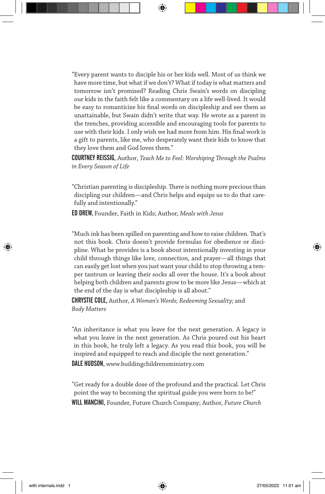"Every parent wants to disciple his or her kids well. Most of us think we have more time, but what if we don't? What if today is what matters and tomorrow isn't promised? Reading Chris Swain's words on discipling our kids in the faith felt like a commentary on a life well-lived. It would be easy to romanticize his final words on discipleship and see them as unattainable, but Swain didn't write that way. He wrote as a parent in the trenches, providing accessible and encouraging tools for parents to use with their kids. I only wish we had more from him. His final work is a gift to parents, like me, who desperately want their kids to know that they love them and God loves them."

COURTNEY REISSIG, Author, *Teach Me to Feel: Worshiping !rough the Psalms in Every Season of Life*

"Christian parenting is discipleship. There is nothing more precious than discipling our children—and Chris helps and equips us to do that carefully and intentionally."

ED DREW, Founder, Faith in Kids; Author, *Meals with Jesus*

"Much ink has been spilled on parenting and how to raise children. That's not this book. Chris doesn't provide formulas for obedience or discipline. What he provides is a book about intentionally investing in your child through things like love, connection, and prayer—all things that can easily get lost when you just want your child to stop throwing a temper tantrum or leaving their socks all over the house. It's a book about helping both children and parents grow to be more like Jesus—which at the end of the day is what discipleship is all about."

CHRYSTIE COLE, Author, *A Woman's Words; Redeeming Sexuality;* and *Body Matters*

"An inheritance is what you leave for the next generation. A legacy is what you leave in the next generation. As Chris poured out his heart in this book, he truly left a legacy. As you read this book, you will be inspired and equipped to reach and disciple the next generation." DALE HUDSON, www.buildingchildrensministry.com

"Get ready for a double dose of the profound and the practical. Let Chris point the way to becoming the spiritual guide you were born to be!" WILL MANCINI, Founder, Future Church Company; Author, *Future Church*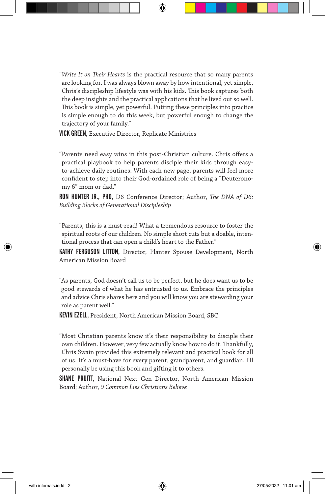"Write It on *Their Hearts* is the practical resource that so many parents are looking for. I was always blown away by how intentional, yet simple, Chris's discipleship lifestyle was with his kids. This book captures both the deep insights and the practical applications that he lived out so well. This book is simple, yet powerful. Putting these principles into practice is simple enough to do this week, but powerful enough to change the trajectory of your family."

VICK GREEN, Executive Director, Replicate Ministries

"Parents need easy wins in this post-Christian culture. Chris offers a practical playbook to help parents disciple their kids through easyto-achieve daily routines. With each new page, parents will feel more confident to step into their God-ordained role of being a "Deuteronomy 6" mom or dad."

RON HUNTER JR., PHD, D6 Conference Director; Author, *!e DNA of D6: Building Blocks of Generational Discipleship*

"Parents, this is a must-read! What a tremendous resource to foster the spiritual roots of our children. No simple short cuts but a doable, intentional process that can open a child's heart to the Father."

KATHY FERGUSON LITTON, Director, Planter Spouse Development, North American Mission Board

"As parents, God doesn't call us to be perfect, but he does want us to be good stewards of what he has entrusted to us. Embrace the principles and advice Chris shares here and you will know you are stewarding your role as parent well."

KEVIN EZELL, President, North American Mission Board, SBC

"Most Christian parents know it's their responsibility to disciple their own children. However, very few actually know how to do it. Thankfully, Chris Swain provided this extremely relevant and practical book for all of us. It's a must-have for every parent, grandparent, and guardian. I'll personally be using this book and gifting it to others.

**SHANE PRUITT, National Next Gen Director, North American Mission** Board; Author, 9 *Common Lies Christians Believe*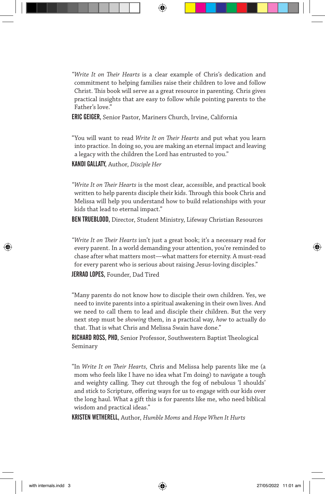"Write It on Their Hearts is a clear example of Chris's dedication and commitment to helping families raise their children to love and follow Christ. This book will serve as a great resource in parenting. Chris gives practical insights that are easy to follow while pointing parents to the Father's love."

ERIC GEIGER, Senior Pastor, Mariners Church, Irvine, California

"You will want to read *Write It on !eir Hearts* and put what you learn into practice. In doing so, you are making an eternal impact and leaving a legacy with the children the Lord has entrusted to you."

KANDI GALLATY, Author, *Disciple Her*

*"Write It on !eir Hearts* is the most clear, accessible, and practical book written to help parents disciple their kids. Through this book Chris and Melissa will help you understand how to build relationships with your kids that lead to eternal impact."

BEN TRUEBLOOD, Director, Student Ministry, Lifeway Christian Resources

*"Write It on !eir Hearts* isn't just a great book; it's a necessary read for every parent. In a world demanding your attention, you're reminded to chase after what matters most—what matters for eternity. A must-read for every parent who is serious about raising Jesus-loving disciples."

JERRAD LOPES, Founder, Dad Tired

"Many parents do not know how to disciple their own children. Yes, we need to invite parents into a spiritual awakening in their own lives. And we need to call them to lead and disciple their children. But the very next step must be *showing* them, in a practical way, *how* to actually do that. That is what Chris and Melissa Swain have done."

RICHARD ROSS, PHD, Senior Professor, Southwestern Baptist Theological Seminary

"In Write It on *Their Hearts*, Chris and Melissa help parents like me (a mom who feels like I have no idea what I'm doing) to navigate a tough and weighty calling. They cut through the fog of nebulous 'I shoulds' and stick to Scripture, offering ways for us to engage with our kids over the long haul. What a gift this is for parents like me, who need biblical wisdom and practical ideas."

KRISTEN WETHERELL, Author, *Humble Moms* and *Hope When It Hurts*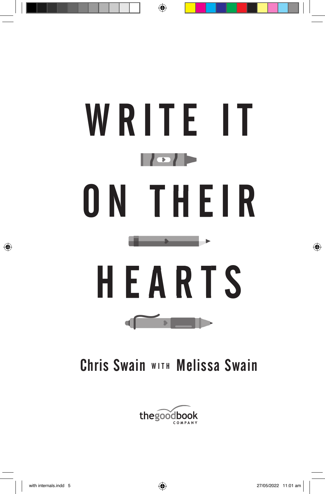# WRITE IT  $\sqrt{2}$ ON THEIR HEARTS  $\mathbf{z}$  and  $\mathbf{z}$ d

### Chris Swain WITH Melissa Swain

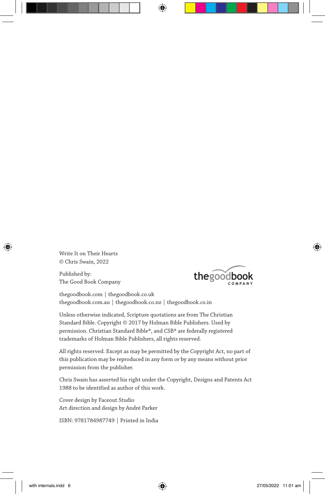Write It on Their Hearts © Chris Swain, 2022

Published by: The Good Book Company



thegoodbook.com | thegoodbook.co.uk thegoodbook.com.au | thegoodbook.co.nz | thegoodbook.co.in

Unless otherwise indicated, Scripture quotations are from The Christian Standard Bible. Copyright © 2017 by Holman Bible Publishers. Used by permission. Christian Standard Bible®, and CSB® are federally registered trademarks of Holman Bible Publishers, all rights reserved.

All rights reserved. Except as may be permitted by the Copyright Act, no part of this publication may be reproduced in any form or by any means without prior permission from the publisher.

Chris Swain has asserted his right under the Copyright, Designs and Patents Act 1988 to be identified as author of this work.

Cover design by Faceout Studio Art direction and design by André Parker

ISBN: 9781784987749 | Printed in India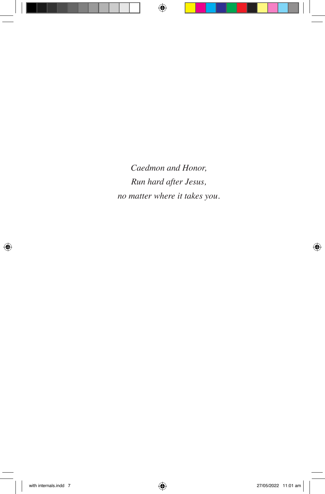*Caedmon and Honor, Run hard after Jesus, no matter where it takes you.*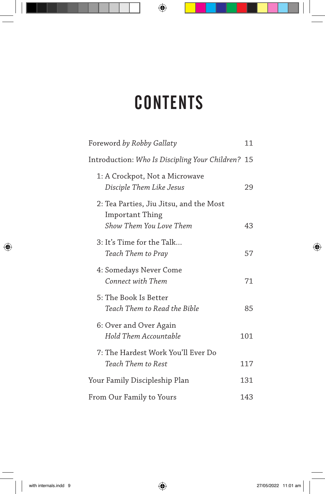# **CONTENTS**

| Foreword by Robby Gallaty                                                                           | 11  |
|-----------------------------------------------------------------------------------------------------|-----|
| Introduction: Who Is Discipling Your Children? 15                                                   |     |
| 1: A Crockpot, Not a Microwave<br>Disciple Them Like Jesus                                          | 29  |
| 2: Tea Parties, Jiu Jitsu, and the Most<br><b>Important Thing</b><br><b>Show Them You Love Them</b> | 43  |
| 3: It's Time for the Talk<br>Teach Them to Pray                                                     | 57  |
| 4: Somedays Never Come<br>Connect with Them                                                         | 71  |
| 5: The Book Is Better<br>Teach Them to Read the Bible                                               | 85  |
| 6: Over and Over Again<br><b>Hold Them Accountable</b>                                              | 101 |
| 7: The Hardest Work You'll Ever Do<br><b>Teach Them to Rest</b>                                     | 117 |
| Your Family Discipleship Plan                                                                       | 131 |
| From Our Family to Yours                                                                            | 143 |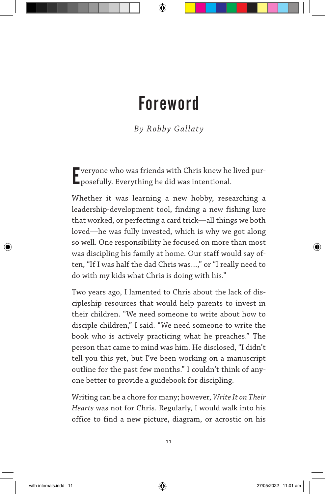### Foreword

*By Robby Gallaty*

E posefully. Everything he did was intentional.  $\blacksquare$  veryone who was friends with Chris knew he lived pur-

Whether it was learning a new hobby, researching a leadership-development tool, finding a new fishing lure that worked, or perfecting a card trick—all things we both loved—he was fully invested, which is why we got along so well. One responsibility he focused on more than most was discipling his family at home. Our staff would say often, "If I was half the dad Chris was…," or "I really need to do with my kids what Chris is doing with his."

Two years ago, I lamented to Chris about the lack of discipleship resources that would help parents to invest in their children. "We need someone to write about how to disciple children," I said. "We need someone to write the book who is actively practicing what he preaches." The person that came to mind was him. He disclosed, "I didn't tell you this yet, but I've been working on a manuscript outline for the past few months." I couldn't think of anyone better to provide a guidebook for discipling.

Writing can be a chore for many; however, *Write It on Their Hearts* was not for Chris. Regularly, I would walk into his office to find a new picture, diagram, or acrostic on his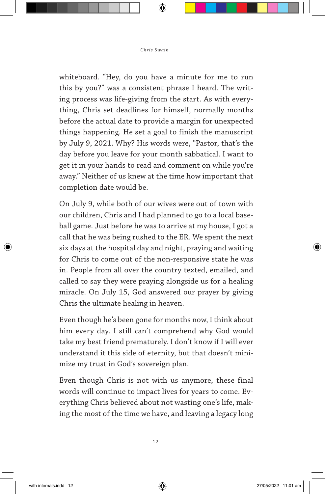whiteboard. "Hey, do you have a minute for me to run this by you?" was a consistent phrase I heard. The writing process was life-giving from the start. As with everything, Chris set deadlines for himself, normally months before the actual date to provide a margin for unexpected things happening. He set a goal to finish the manuscript by July 9, 2021. Why? His words were, "Pastor, that's the day before you leave for your month sabbatical. I want to get it in your hands to read and comment on while you're away." Neither of us knew at the time how important that completion date would be.

On July 9, while both of our wives were out of town with our children, Chris and I had planned to go to a local baseball game. Just before he was to arrive at my house, I got a call that he was being rushed to the ER. We spent the next six days at the hospital day and night, praying and waiting for Chris to come out of the non-responsive state he was in. People from all over the country texted, emailed, and called to say they were praying alongside us for a healing miracle. On July 15, God answered our prayer by giving Chris the ultimate healing in heaven.

Even though he's been gone for months now, I think about him every day. I still can't comprehend why God would take my best friend prematurely. I don't know if I will ever understand it this side of eternity, but that doesn't minimize my trust in God's sovereign plan.

Even though Chris is not with us anymore, these final words will continue to impact lives for years to come. Everything Chris believed about not wasting one's life, making the most of the time we have, and leaving a legacy long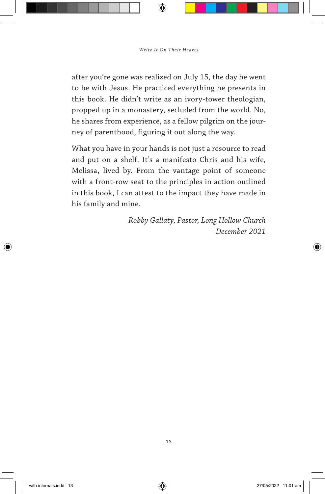after you're gone was realized on July 15, the day he went to be with Jesus. He practiced everything he presents in this book. He didn't write as an ivory-tower theologian, propped up in a monastery, secluded from the world. No, he shares from experience, as a fellow pilgrim on the journey of parenthood, figuring it out along the way.

What you have in your hands is not just a resource to read and put on a shelf. It's a manifesto Chris and his wife, Melissa, lived by. From the vantage point of someone with a front-row seat to the principles in action outlined in this book, I can attest to the impact they have made in his family and mine.

> *Robby Gallaty, Pastor, Long Hollow Church December 2021*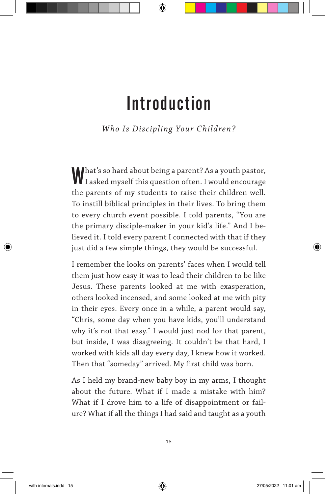## Introduction

*Who Is Discipling Your Children?*

What's so hard about being a parent? As a youth pastor, I asked myself this question often. I would encourage the parents of my students to raise their children well. To instill biblical principles in their lives. To bring them to every church event possible. I told parents, "You are the primary disciple-maker in your kid's life." And I believed it. I told every parent I connected with that if they just did a few simple things, they would be successful.

I remember the looks on parents' faces when I would tell them just how easy it was to lead their children to be like Jesus. These parents looked at me with exasperation, others looked incensed, and some looked at me with pity in their eyes. Every once in a while, a parent would say, "Chris, some day when you have kids, you'll understand why it's not that easy." I would just nod for that parent, but inside, I was disagreeing. It couldn't be that hard, I worked with kids all day every day, I knew how it worked. Then that "someday" arrived. My first child was born.

As I held my brand-new baby boy in my arms, I thought about the future. What if I made a mistake with him? What if I drove him to a life of disappointment or failure? What if all the things I had said and taught as a youth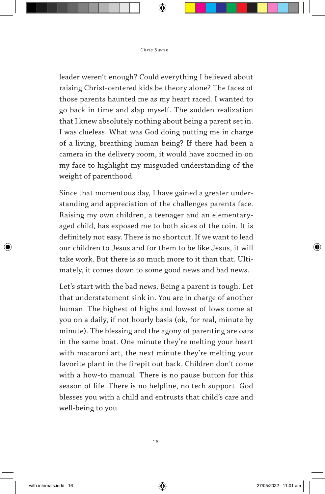leader weren't enough? Could everything I believed about raising Christ-centered kids be theory alone? The faces of those parents haunted me as my heart raced. I wanted to go back in time and slap myself. The sudden realization that I knew absolutely nothing about being a parent set in. I was clueless. What was God doing putting me in charge of a living, breathing human being? If there had been a camera in the delivery room, it would have zoomed in on my face to highlight my misguided understanding of the weight of parenthood.

Since that momentous day, I have gained a greater understanding and appreciation of the challenges parents face. Raising my own children, a teenager and an elementaryaged child, has exposed me to both sides of the coin. It is definitely not easy. There is no shortcut. If we want to lead our children to Jesus and for them to be like Jesus, it will take work. But there is so much more to it than that. Ultimately, it comes down to some good news and bad news.

Let's start with the bad news. Being a parent is tough. Let that understatement sink in. You are in charge of another human. The highest of highs and lowest of lows come at you on a daily, if not hourly basis (ok, for real, minute by minute). The blessing and the agony of parenting are oars in the same boat. One minute they're melting your heart with macaroni art, the next minute they're melting your favorite plant in the firepit out back. Children don't come with a how-to manual. There is no pause button for this season of life. There is no helpline, no tech support. God blesses you with a child and entrusts that child's care and well-being to you.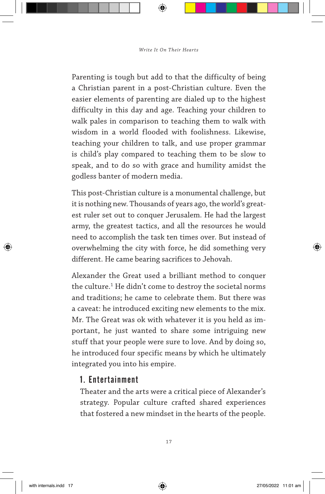Parenting is tough but add to that the difficulty of being a Christian parent in a post-Christian culture. Even the easier elements of parenting are dialed up to the highest difficulty in this day and age. Teaching your children to walk pales in comparison to teaching them to walk with wisdom in a world flooded with foolishness. Likewise, teaching your children to talk, and use proper grammar is child's play compared to teaching them to be slow to speak, and to do so with grace and humility amidst the godless banter of modern media.

This post-Christian culture is a monumental challenge, but it is nothing new. Thousands of years ago, the world's greatest ruler set out to conquer Jerusalem. He had the largest army, the greatest tactics, and all the resources he would need to accomplish the task ten times over. But instead of overwhelming the city with force, he did something very different. He came bearing sacrifices to Jehovah.

Alexander the Great used a brilliant method to conquer the culture.<sup>1</sup> He didn't come to destroy the societal norms and traditions; he came to celebrate them. But there was a caveat: he introduced exciting new elements to the mix. Mr. The Great was ok with whatever it is you held as important, he just wanted to share some intriguing new stuff that your people were sure to love. And by doing so, he introduced four specific means by which he ultimately integrated you into his empire.

#### 1. Entertainment

Theater and the arts were a critical piece of Alexander's strategy. Popular culture crafted shared experiences that fostered a new mindset in the hearts of the people.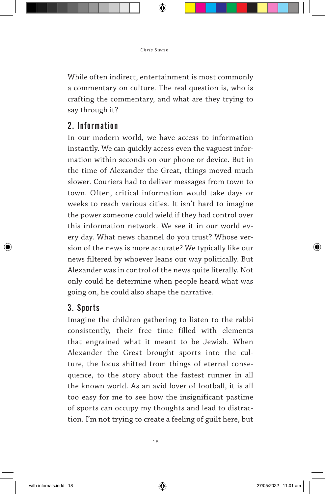While often indirect, entertainment is most commonly a commentary on culture. The real question is, who is crafting the commentary, and what are they trying to say through it?

#### 2. Information

In our modern world, we have access to information instantly. We can quickly access even the vaguest information within seconds on our phone or device. But in the time of Alexander the Great, things moved much slower. Couriers had to deliver messages from town to town. Often, critical information would take days or weeks to reach various cities. It isn't hard to imagine the power someone could wield if they had control over this information network. We see it in our world every day. What news channel do you trust? Whose version of the news is more accurate? We typically like our news filtered by whoever leans our way politically. But Alexander was in control of the news quite literally. Not only could he determine when people heard what was going on, he could also shape the narrative.

#### 3. Sports

Imagine the children gathering to listen to the rabbi consistently, their free time filled with elements that engrained what it meant to be Jewish. When Alexander the Great brought sports into the culture, the focus shifted from things of eternal consequence, to the story about the fastest runner in all the known world. As an avid lover of football, it is all too easy for me to see how the insignificant pastime of sports can occupy my thoughts and lead to distraction. I'm not trying to create a feeling of guilt here, but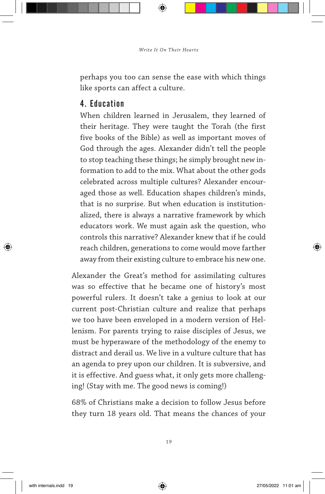perhaps you too can sense the ease with which things like sports can affect a culture.

#### 4. Education

When children learned in Jerusalem, they learned of their heritage. They were taught the Torah (the first five books of the Bible) as well as important moves of God through the ages. Alexander didn't tell the people to stop teaching these things; he simply brought new information to add to the mix. What about the other gods celebrated across multiple cultures? Alexander encouraged those as well. Education shapes children's minds, that is no surprise. But when education is institutionalized, there is always a narrative framework by which educators work. We must again ask the question, who controls this narrative? Alexander knew that if he could reach children, generations to come would move farther away from their existing culture to embrace his new one.

Alexander the Great's method for assimilating cultures was so effective that he became one of history's most powerful rulers. It doesn't take a genius to look at our current post-Christian culture and realize that perhaps we too have been enveloped in a modern version of Hellenism. For parents trying to raise disciples of Jesus, we must be hyperaware of the methodology of the enemy to distract and derail us. We live in a vulture culture that has an agenda to prey upon our children. It is subversive, and it is effective. And guess what, it only gets more challenging! (Stay with me. The good news is coming!)

68% of Christians make a decision to follow Jesus before they turn 18 years old. That means the chances of your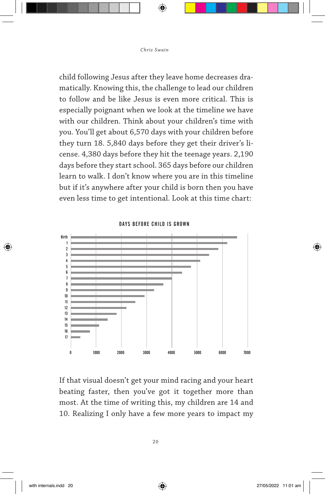child following Jesus after they leave home decreases dramatically. Knowing this, the challenge to lead our children to follow and be like Jesus is even more critical. This is especially poignant when we look at the timeline we have with our children. Think about your children's time with you. You'll get about 6,570 days with your children before they turn 18. 5,840 days before they get their driver's license. 4,380 days before they hit the teenage years. 2,190 days before they start school. 365 days before our children learn to walk. I don't know where you are in this timeline but if it's anywhere after your child is born then you have even less time to get intentional. Look at this time chart:



DAYS BEFORE CHILD IS GROWN

If that visual doesn't get your mind racing and your heart beating faster, then you've got it together more than most. At the time of writing this, my children are 14 and 10. Realizing I only have a few more years to impact my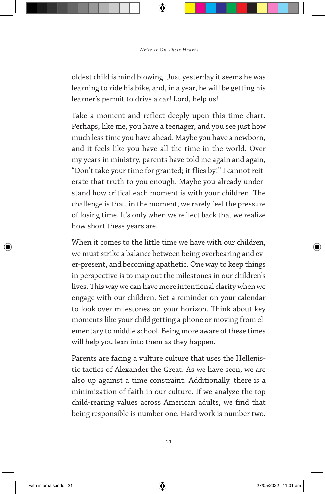oldest child is mind blowing. Just yesterday it seems he was learning to ride his bike, and, in a year, he will be getting his learner's permit to drive a car! Lord, help us!

Take a moment and reflect deeply upon this time chart. Perhaps, like me, you have a teenager, and you see just how much less time you have ahead. Maybe you have a newborn, and it feels like you have all the time in the world. Over my years in ministry, parents have told me again and again, "Don't take your time for granted; it flies by!" I cannot reiterate that truth to you enough. Maybe you already understand how critical each moment is with your children. The challenge is that, in the moment, we rarely feel the pressure of losing time. It's only when we reflect back that we realize how short these years are.

When it comes to the little time we have with our children, we must strike a balance between being overbearing and ever-present, and becoming apathetic. One way to keep things in perspective is to map out the milestones in our children's lives. This way we can have more intentional clarity when we engage with our children. Set a reminder on your calendar to look over milestones on your horizon. Think about key moments like your child getting a phone or moving from elementary to middle school. Being more aware of these times will help you lean into them as they happen.

Parents are facing a vulture culture that uses the Hellenistic tactics of Alexander the Great. As we have seen, we are also up against a time constraint. Additionally, there is a minimization of faith in our culture. If we analyze the top child-rearing values across American adults, we find that being responsible is number one. Hard work is number two.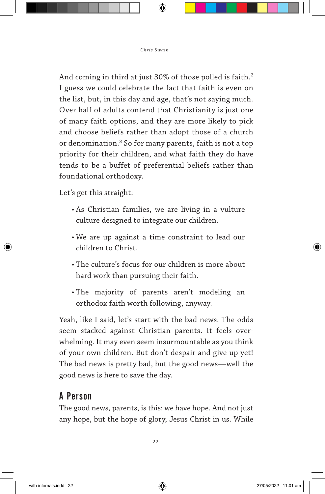And coming in third at just 30% of those polled is faith.<sup>2</sup> I guess we could celebrate the fact that faith is even on the list, but, in this day and age, that's not saying much. Over half of adults contend that Christianity is just one of many faith options, and they are more likely to pick and choose beliefs rather than adopt those of a church or denomination.3 So for many parents, faith is not a top priority for their children, and what faith they do have tends to be a buffet of preferential beliefs rather than foundational orthodoxy.

Let's get this straight:

- As Christian families, we are living in a vulture culture designed to integrate our children.
- We are up against a time constraint to lead our children to Christ.
- The culture's focus for our children is more about hard work than pursuing their faith.
- The majority of parents aren't modeling an orthodox faith worth following, anyway.

Yeah, like I said, let's start with the bad news. The odds seem stacked against Christian parents. It feels overwhelming. It may even seem insurmountable as you think of your own children. But don't despair and give up yet! The bad news is pretty bad, but the good news—well the good news is here to save the day.

#### A Person

The good news, parents, is this: we have hope. And not just any hope, but the hope of glory, Jesus Christ in us. While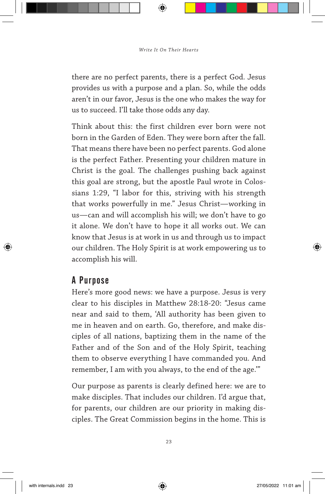there are no perfect parents, there is a perfect God. Jesus provides us with a purpose and a plan. So, while the odds aren't in our favor, Jesus is the one who makes the way for us to succeed. I'll take those odds any day.

Think about this: the first children ever born were not born in the Garden of Eden. They were born after the fall. That means there have been no perfect parents. God alone is the perfect Father. Presenting your children mature in Christ is the goal. The challenges pushing back against this goal are strong, but the apostle Paul wrote in Colossians 1:29, "I labor for this, striving with his strength that works powerfully in me." Jesus Christ—working in us—can and will accomplish his will; we don't have to go it alone. We don't have to hope it all works out. We can know that Jesus is at work in us and through us to impact our children. The Holy Spirit is at work empowering us to accomplish his will.

#### A Purpose

Here's more good news: we have a purpose. Jesus is very clear to his disciples in Matthew 28:18-20: "Jesus came near and said to them, 'All authority has been given to me in heaven and on earth. Go, therefore, and make disciples of all nations, baptizing them in the name of the Father and of the Son and of the Holy Spirit, teaching them to observe everything I have commanded you. And remember, I am with you always, to the end of the age.'"

Our purpose as parents is clearly defined here: we are to make disciples. That includes our children. I'd argue that, for parents, our children are our priority in making disciples. The Great Commission begins in the home. This is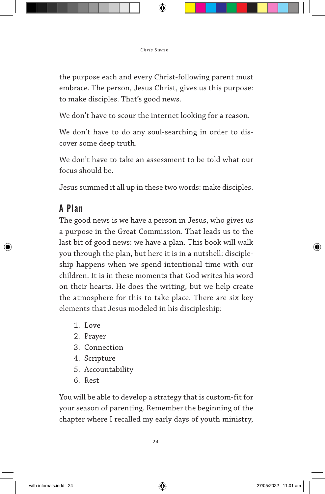the purpose each and every Christ-following parent must embrace. The person, Jesus Christ, gives us this purpose: to make disciples. That's good news.

We don't have to scour the internet looking for a reason.

We don't have to do any soul-searching in order to discover some deep truth.

We don't have to take an assessment to be told what our focus should be.

Jesus summed it all up in these two words: make disciples.

#### A Plan

The good news is we have a person in Jesus, who gives us a purpose in the Great Commission. That leads us to the last bit of good news: we have a plan. This book will walk you through the plan, but here it is in a nutshell: discipleship happens when we spend intentional time with our children. It is in these moments that God writes his word on their hearts. He does the writing, but we help create the atmosphere for this to take place. There are six key elements that Jesus modeled in his discipleship:

- 1. Love
- 2. Prayer
- 3. Connection
- 4. Scripture
- 5. Accountability
- 6. Rest

You will be able to develop a strategy that is custom-fit for your season of parenting. Remember the beginning of the chapter where I recalled my early days of youth ministry,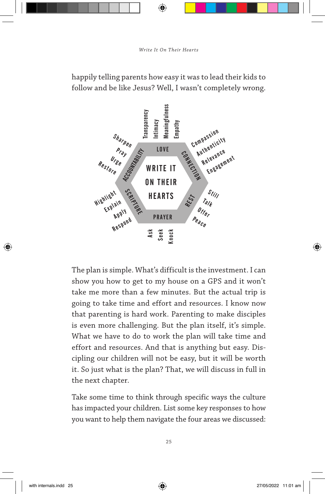happily telling parents how easy it was to lead their kids to follow and be like Jesus? Well, I wasn't completely wrong.



The plan is simple. What's difficult is the investment. I can show you how to get to my house on a GPS and it won't take me more than a few minutes. But the actual trip is going to take time and effort and resources. I know now that parenting is hard work. Parenting to make disciples is even more challenging. But the plan itself, it's simple. What we have to do to work the plan will take time and effort and resources. And that is anything but easy. Discipling our children will not be easy, but it will be worth it. So just what is the plan? That, we will discuss in full in the next chapter.

Take some time to think through specific ways the culture has impacted your children. List some key responses to how you want to help them navigate the four areas we discussed:

25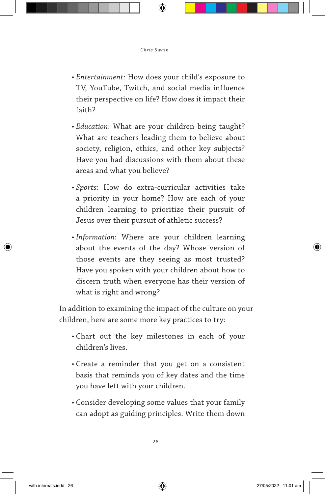- *Entertainment:* How does your child's exposure to TV, YouTube, Twitch, and social media influence their perspective on life? How does it impact their faith?
- *Education*: What are your children being taught? What are teachers leading them to believe about society, religion, ethics, and other key subjects? Have you had discussions with them about these areas and what you believe?
- *Sports*: How do extra-curricular activities take a priority in your home? How are each of your children learning to prioritize their pursuit of Jesus over their pursuit of athletic success?
- *Information*: Where are your children learning about the events of the day? Whose version of those events are they seeing as most trusted? Have you spoken with your children about how to discern truth when everyone has their version of what is right and wrong?

In addition to examining the impact of the culture on your children, here are some more key practices to try:

- Chart out the key milestones in each of your children's lives.
- Create a reminder that you get on a consistent basis that reminds you of key dates and the time you have left with your children.
- Consider developing some values that your family can adopt as guiding principles. Write them down